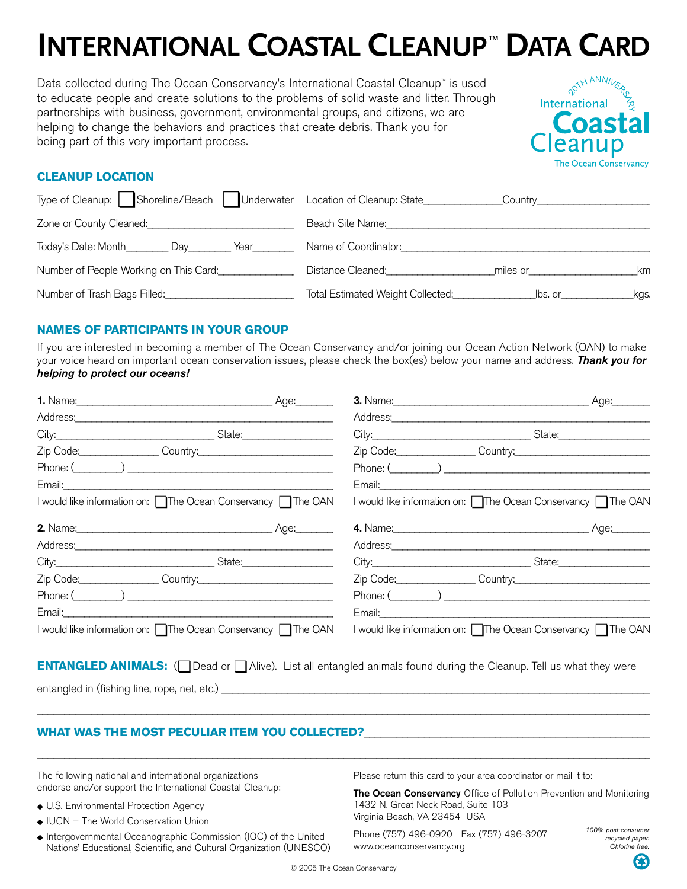# **INTERNATIONAL COASTAL CLEANUP<sup>™</sup> DATA CARD**

Data collected during The Ocean Conservancy's International Coastal Cleanup™ is used to educate people and create solutions to the problems of solid waste and litter. Through partnerships with business, government, environmental groups, and citizens, we are helping to change the behaviors and practices that create debris. Thank you for being part of this very important process.



## **CLEANUP LOCATION**

| Type of Cleanup: Shoreline/Beach   Underwater Location of Cleanup: State | Country                                                                                                                                                                                                                                                   |
|--------------------------------------------------------------------------|-----------------------------------------------------------------------------------------------------------------------------------------------------------------------------------------------------------------------------------------------------------|
| Zone or County Cleaned:                                                  | Beach Site Name:                                                                                                                                                                                                                                          |
| Today's Date: Month<br>Day<br>Year                                       | Name of Coordinator:                                                                                                                                                                                                                                      |
| Number of People Working on This Card:                                   | Distance Cleaned:<br>miles or the contract of the contract of the contract of the contract of the contract of the contract of the contract of the contract of the contract of the contract of the contract of the contract of the contract of the c<br>km |
|                                                                          | Total Estimated Weight Collected:<br>Sollected:<br>lbs. or<br>kas.                                                                                                                                                                                        |

## **NAMES OF PARTICIPANTS IN YOUR GROUP**

If you are interested in becoming a member of The Ocean Conservancy and/or joining our Ocean Action Network (OAN) to make your voice heard on important ocean conservation issues, please check the box(es) below your name and address. *Thank you for helping to protect our oceans!* 

|                                                                                                                                                                                                                                |  | <b>3.</b> Name: <u>2008</u>                                                                                                                                                                                                                                  | Age: |
|--------------------------------------------------------------------------------------------------------------------------------------------------------------------------------------------------------------------------------|--|--------------------------------------------------------------------------------------------------------------------------------------------------------------------------------------------------------------------------------------------------------------|------|
|                                                                                                                                                                                                                                |  | Address: Note and the set of the set of the set of the set of the set of the set of the set of the set of the set of the set of the set of the set of the set of the set of the set of the set of the set of the set of the se                               |      |
| City: City: City: City: City: City: City: City: City: City: City: City: City: City: City: City: City: City: City: City: City: City: City: City: City: City: City: City: City: City: City: City: City: City: City: City: City:  |  |                                                                                                                                                                                                                                                              |      |
| Zip Code: Country: Country:                                                                                                                                                                                                    |  | Zip Code: Country: Country:                                                                                                                                                                                                                                  |      |
| $\mathsf{Phone:} (\_\_ \_\_ \_\_ \_\_ \_\_ \_\_ \_\_ \_\_ \_\_ \_\_ \_\_ \_\_ \_\_ \_ \_ \_ \_ \_ \_$                                                                                                                          |  | $Phone: ($ and $)$ and $()$ and $()$ and $()$ and $()$ and $()$ and $()$ and $()$ and $()$ and $()$ and $()$ and $()$ and $()$ and $()$ and $()$ and $()$ and $()$ and $()$ and $()$ and $()$ and $()$ and $()$ and $()$ and $()$ and $()$ and $()$ and $()$ |      |
|                                                                                                                                                                                                                                |  | Email: 2008. 2008. 2010. 2010. 2010. 2010. 2010. 2010. 2011. 2012. 2013. 2014. 2016. 2017. 2018. 2019. 2019. 20                                                                                                                                              |      |
| I would like information on: □ The Ocean Conservancy □ The OAN                                                                                                                                                                 |  | I would like information on: The Ocean Conservancy The OAN                                                                                                                                                                                                   |      |
| 2. Name: Age:                                                                                                                                                                                                                  |  |                                                                                                                                                                                                                                                              |      |
| Address: 2008 2009 2010 2020 2020 2020 2021 2021 2022 2021 2022 2021 2022 2022 2021 2022 2021 2022 2021 2022 20                                                                                                                |  | Address: 2008 and 2008 and 2008 and 2008 and 2008 and 2008 and 2008 and 2008 and 2008 and 2008 and 2008 and 20                                                                                                                                               |      |
|                                                                                                                                                                                                                                |  |                                                                                                                                                                                                                                                              |      |
| Zip Code: Country: Country:                                                                                                                                                                                                    |  | Zip Code: Country: Country:                                                                                                                                                                                                                                  |      |
| $\mathsf{Phone:} (\_\_ \_\_ )$                                                                                                                                                                                                 |  | Phone: $\begin{pmatrix} 0 & 1 \\ 0 & 1 \end{pmatrix}$                                                                                                                                                                                                        |      |
|                                                                                                                                                                                                                                |  |                                                                                                                                                                                                                                                              |      |
| Email: Email: Email: Email: Email: Email: Email: Email: Email: Email: Email: Email: Email: Email: Email: Email: Email: Email: Email: Email: Email: Email: Email: Email: Email: Email: Email: Email: Email: Email: Email: Email |  | Email: Email: Email: Email: Email: Email: Email: Email: Email: Email: Email: Email: Email: Email: Email: Email: Email: Email: Email: Email: Email: Email: Email: Email: Email: Email: Email: Email: Email: Email: Email: Email                               |      |

**ENTANGLED ANIMALS:** (❏ Dead or ❏ Alive). List all entangled animals found during the Cleanup. Tell us what they were

\_\_\_\_\_\_\_\_\_\_\_\_\_\_\_\_\_\_\_\_\_\_\_\_\_\_\_\_\_\_\_\_\_\_\_\_\_\_\_\_\_\_\_\_\_\_\_\_\_\_\_\_\_\_\_\_\_\_\_\_\_\_\_\_\_\_\_\_\_\_\_\_\_\_\_\_\_\_\_\_\_\_\_\_\_\_\_\_\_\_\_\_\_\_\_\_\_\_\_\_\_\_\_\_\_\_\_\_\_\_\_\_\_

\_\_\_\_\_\_\_\_\_\_\_\_\_\_\_\_\_\_\_\_\_\_\_\_\_\_\_\_\_\_\_\_\_\_\_\_\_\_\_\_\_\_\_\_\_\_\_\_\_\_\_\_\_\_\_\_\_\_\_\_\_\_\_\_\_\_\_\_\_\_\_\_\_\_\_\_\_\_\_\_\_\_\_\_\_\_\_\_\_\_\_\_\_\_\_\_\_\_\_\_\_\_\_\_\_\_\_\_\_\_\_\_\_

entangled in (fishing line, rope, net, etc.) \_\_\_\_\_\_\_\_\_\_\_\_\_\_\_\_\_\_\_\_\_\_\_\_\_\_\_\_\_\_\_\_\_\_\_\_\_\_\_\_\_\_\_\_\_\_\_\_\_\_\_\_\_\_\_\_\_\_\_\_\_\_\_\_\_\_\_\_\_\_\_\_\_\_\_\_\_\_\_

## **WHAT WAS THE MOST PECULIAR ITEM YOU COLLECTED?**\_\_\_\_\_\_\_\_\_\_\_\_\_\_\_\_\_\_\_\_\_\_\_\_\_\_\_\_\_\_\_\_\_\_\_\_\_\_\_\_\_\_\_\_\_\_\_\_\_\_\_\_\_

The following national and international organizations endorse and/or support the International Coastal Cleanup:

- ◆ U.S. Environmental Protection Agency
- ◆ IUCN The World Conservation Union
- ◆ Intergovernmental Oceanographic Commission (IOC) of the United Nations' Educational, Scientific, and Cultural Organization (UNESCO)

Please return this card to your area coordinator or mail it to:

**The Ocean Conservancy** Office of Pollution Prevention and Monitoring 1432 N. Great Neck Road, Suite 103 Virginia Beach, VA 23454 USA

Phone (757) 496-0920 Fax (757) 496-3207 www.oceanconservancy.org

*100% post-consumer recycled paper. Chlorine free.*

G

© 2005 The Ocean Conservancy